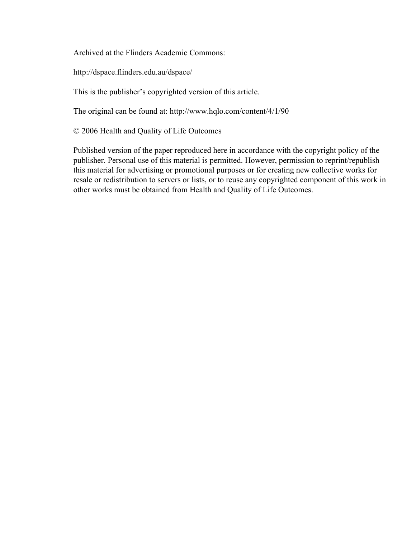Archived at the Flinders Academic Commons:

http://dspace.flinders.edu.au/dspace/

This is the publisher's copyrighted version of this article.

The original can be found at: http://www.hqlo.com/content/4/1/90

© 2006 Health and Quality of Life Outcomes

Published version of the paper reproduced here in accordance with the copyright policy of the publisher. Personal use of this material is permitted. However, permission to reprint/republish this material for advertising or promotional purposes or for creating new collective works for resale or redistribution to servers or lists, or to reuse any copyrighted component of this work in other works must be obtained from Health and Quality of Life Outcomes.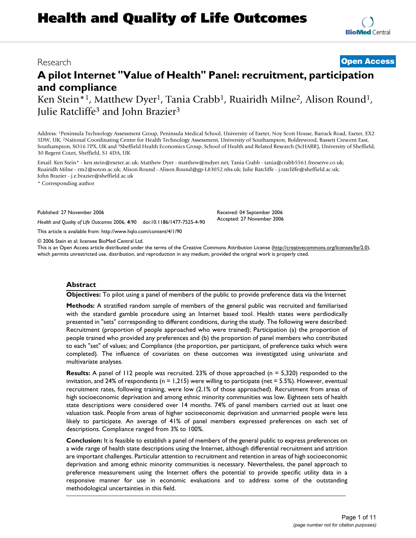# **Health and Quality of Life Outcomes**

Research **[Open Access](http://www.biomedcentral.com/info/about/charter/)**

# **A pilot Internet "Value of Health" Panel: recruitment, participation and compliance**

Ken Stein<sup>\*1</sup>, Matthew Dyer<sup>1</sup>, Tania Crabb<sup>1</sup>, Ruairidh Milne<sup>2</sup>, Alison Round<sup>1</sup>, Julie Ratcliffe<sup>3</sup> and John Brazier<sup>3</sup>

Address: 1Peninsula Technology Assessment Group, Peninsula Medical School, University of Exeter, Noy Scott House, Barrack Road, Exeter, EX2 5DW, UK, 2National Coordinating Centre for Health Technology Assessment, University of Southampton, Boldrewood, Bassett Crescent East, Southampton, SO16 7PX, UK and 3Sheffield Health Economics Group, School of Health and Related Research (ScHARR), University of Sheffield, 30 Regent Court, Sheffield, S1 4DA, UK

Email: Ken Stein\* - ken.stein@exeter.ac.uk; Matthew Dyer - matthew@mdyer.net; Tania Crabb - tania@crabb5561.freeserve.co.uk; Ruairidh Milne - rm2@soton.ac.uk; Alison Round - Alison.Round@gp-L83052.nhs.uk; Julie Ratcliffe - j.ratcliffe@sheffield.ac.uk; John Brazier - j.e.brazier@sheffield.ac.uk

\* Corresponding author

Published: 27 November 2006

*Health and Quality of Life Outcomes* 2006, **4**:90 doi:10.1186/1477-7525-4-90

[This article is available from: http://www.hqlo.com/content/4/1/90](http://www.hqlo.com/content/4/1/90)

© 2006 Stein et al; licensee BioMed Central Ltd.

This is an Open Access article distributed under the terms of the Creative Commons Attribution License [\(http://creativecommons.org/licenses/by/2.0\)](http://creativecommons.org/licenses/by/2.0), which permits unrestricted use, distribution, and reproduction in any medium, provided the original work is properly cited.

# **Abstract**

**Objectives:** To pilot using a panel of members of the public to provide preference data via the Internet

**Methods:** A stratified random sample of members of the general public was recruited and familiarised with the standard gamble procedure using an Internet based tool. Health states were perdiodically presented in "sets" corresponding to different conditions, during the study. The following were described: Recruitment (proportion of people approached who were trained); Participation (a) the proportion of people trained who provided any preferences and (b) the proportion of panel members who contributed to each "set" of values; and Compliance (the proportion, per participant, of preference tasks which were completed). The influence of covariates on these outcomes was investigated using univariate and multivariate analyses.

**Results:** A panel of 112 people was recruited. 23% of those approached (n = 5,320) responded to the invitation, and 24% of respondents ( $n = 1,215$ ) were willing to participate (net = 5.5%). However, eventual recruitment rates, following training, were low (2.1% of those approached). Recruitment from areas of high socioeconomic deprivation and among ethnic minority communities was low. Eighteen sets of health state descriptions were considered over 14 months. 74% of panel members carried out at least one valuation task. People from areas of higher socioeconomic deprivation and unmarried people were less likely to participate. An average of 41% of panel members expressed preferences on each set of descriptions. Compliance ranged from 3% to 100%.

**Conclusion:** It is feasible to establish a panel of members of the general public to express preferences on a wide range of health state descriptions using the Internet, although differential recruitment and attrition are important challenges. Particular attention to recruitment and retention in areas of high socioeconomic deprivation and among ethnic minority communities is necessary. Nevertheless, the panel approach to preference measurement using the Internet offers the potential to provide specific utility data in a responsive manner for use in economic evaluations and to address some of the outstanding methodological uncertainties in this field.

Received: 04 September 2006 Accepted: 27 November 2006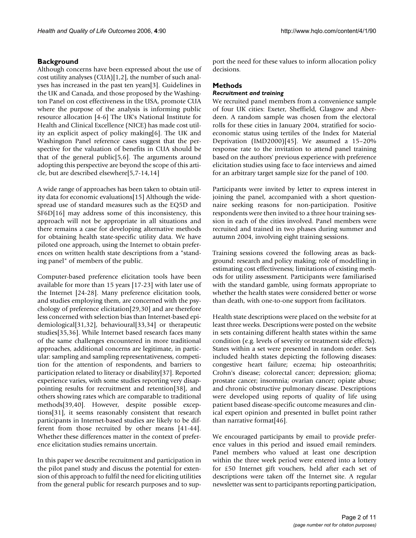Although concerns have been expressed about the use of cost utility analyses (CUA)[1,2], the number of such analyses has increased in the past ten years[3]. Guidelines in the UK and Canada, and those proposed by the Washington Panel on cost effectiveness in the USA, promote CUA where the purpose of the analysis is informing public resource allocation [4-6] The UK's National Institute for Health and Clinical Excellence (NICE) has made cost utility an explicit aspect of policy making[6]. The UK and Washington Panel reference cases suggest that the perspective for the valuation of benefits in CUA should be that of the general public[5,6]. The arguments around adopting this perspective are beyond the scope of this article, but are described elsewhere[5,7-14,14]

A wide range of approaches has been taken to obtain utility data for economic evaluations[15] Although the widespread use of standard measures such as the EQ5D and SF6D[16] may address some of this inconsistency, this approach will not be appropriate in all situations and there remains a case for developing alternative methods for obtaining health state-specific utility data. We have piloted one approach, using the Internet to obtain preferences on written health state descriptions from a "standing panel" of members of the public.

Computer-based preference elicitation tools have been available for more than 15 years [17-23] with later use of the Internet [24-28]. Many preference elicitation tools, and studies employing them, are concerned with the psychology of preference elicitation[29,30] and are therefore less concerned with selection bias than Internet-based epidemiological[31,32], behavioural[33,34] or therapeutic studies[35,36]. While Internet based research faces many of the same challenges encountered in more traditional approaches, additional concerns are legitimate, in particular: sampling and sampling representativeness, competition for the attention of respondents, and barriers to participation related to literacy or disability[37]. Reported experience varies, with some studies reporting very disappointing results for recruitment and retention[38], and others showing rates which are comparable to traditional methods[39,40]. However, despite possible exceptions[31], it seems reasonably consistent that research participants in Internet-based studies are likely to be different from those recruited by other means [41-44]. Whether these differences matter in the context of preference elicitation studies remains uncertain.

In this paper we describe recruitment and participation in the pilot panel study and discuss the potential for extension of this approach to fulfil the need for eliciting utilities from the general public for research purposes and to support the need for these values to inform allocation policy decisions.

# **Methods**

# *Recruitment and training*

We recruited panel members from a convenience sample of four UK cities: Exeter, Sheffield, Glasgow and Aberdeen. A random sample was chosen from the electoral rolls for these cities in January 2004, stratified for socioeconomic status using tertiles of the Index for Material Deprivation (IMD2000)[45]. We assumed a 15–20% response rate to the invitation to attend panel training based on the authors' previous experience with preference elicitation studies using face to face interviews and aimed for an arbitrary target sample size for the panel of 100.

Participants were invited by letter to express interest in joining the panel, accompanied with a short questionnaire seeking reasons for non-participation. Positive respondents were then invited to a three hour training session in each of the cities involved. Panel members were recruited and trained in two phases during summer and autumn 2004, involving eight training sessions.

Training sessions covered the following areas as background: research and policy making; role of modelling in estimating cost effectiveness; limitations of existing methods for utility assessment. Participants were familiarised with the standard gamble, using formats appropriate to whether the health states were considered better or worse than death, with one-to-one support from facilitators.

Health state descriptions were placed on the website for at least three weeks. Descriptions were posted on the website in sets containing different health states within the same condition (e.g. levels of severity or treatment side effects). States within a set were presented in random order. Sets included health states depicting the following diseases: congestive heart failure; eczema; hip osteoarthritis; Crohn's disease; colorectal cancer; depression; glioma; prostate cancer; insomnia; ovarian cancer; opiate abuse; and chronic obstructive pulmonary disease. Descriptions were developed using reports of quality of life using patient based disease-specific outcome measures and clinical expert opinion and presented in bullet point rather than narrative format[46].

We encouraged participants by email to provide preference values in this period and issued email reminders. Panel members who valued at least one description within the three week period were entered into a lottery for £50 Internet gift vouchers, held after each set of descriptions were taken off the Internet site. A regular newsletter was sent to participants reporting participation,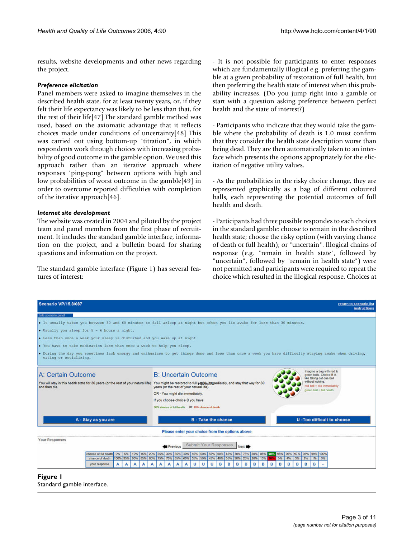results, website developments and other news regarding the project.

# *Preference elicitation*

Panel members were asked to imagine themselves in the described health state, for at least twenty years, or, if they felt their life expectancy was likely to be less than that, for the rest of their life[47] The standard gamble method was used, based on the axiomatic advantage that it reflects choices made under conditions of uncertainty[48] This was carried out using bottom-up "titration", in which respondents work through choices with increasing probability of good outcome in the gamble option. We used this approach rather than an iterative approach where responses "ping-pong" between options with high and low probabilities of worst outcome in the gamble[49] in order to overcome reported difficulties with completion of the iterative approach[46].

# *Internet site development*

The website was created in 2004 and piloted by the project team and panel members from the first phase of recruitment. It includes the standard gamble interface, information on the project, and a bulletin board for sharing questions and information on the project.

The standard gamble interface (Figure 1) has several features of interest:

- It is not possible for participants to enter responses which are fundamentally illogical e.g. preferring the gamble at a given probability of restoration of full health, but then preferring the health state of interest when this probability increases. (Do you jump right into a gamble or start with a question asking preference between perfect health and the state of interest?)

- Participants who indicate that they would take the gamble where the probability of death is 1.0 must confirm that they consider the health state description worse than being dead. They are then automatically taken to an interface which presents the options appropriately for the elicitation of negative utility values.

- As the probabilities in the risky choice change, they are represented graphically as a bag of different coloured balls, each representing the potential outcomes of full health and death.

- Participants had three possible respondes to each choices in the standard gamble: choose to remain in the described health state; choose the risky option (with varying chance of death or full health); or "uncertain". Illogical chains of response (e.g. "remain in health state", followed by "uncertain", followed by "remain in health state") were not permitted and participants were required to repeat the choice which resulted in the illogical response. Choices at

| <b>Scenario VP/15.8/087</b>                                                                                                |                                                                                                                                                                            | return to scenario list<br><b>instructions</b> |  |  |  |  |  |  |
|----------------------------------------------------------------------------------------------------------------------------|----------------------------------------------------------------------------------------------------------------------------------------------------------------------------|------------------------------------------------|--|--|--|--|--|--|
| hide scenario panel                                                                                                        |                                                                                                                                                                            |                                                |  |  |  |  |  |  |
| . It usually takes you between 30 and 60 minutes to fall asleep at night but often you lie awake for less than 30 minutes. |                                                                                                                                                                            |                                                |  |  |  |  |  |  |
| $\bullet$ Usually you sleep for $5 - 6$ hours a night.                                                                     |                                                                                                                                                                            |                                                |  |  |  |  |  |  |
| . Less than once a week your sleep is disturbed and you wake up at night                                                   |                                                                                                                                                                            |                                                |  |  |  |  |  |  |
| . You have to take medication less than once a week to help you sleep.                                                     |                                                                                                                                                                            |                                                |  |  |  |  |  |  |
|                                                                                                                            |                                                                                                                                                                            |                                                |  |  |  |  |  |  |
| eating or socialising.                                                                                                     | . During the day you sometimes lack energy and enthusiasm to get things done and less than once a week you have difficulty staying awake when driving,                     |                                                |  |  |  |  |  |  |
|                                                                                                                            |                                                                                                                                                                            |                                                |  |  |  |  |  |  |
|                                                                                                                            | Imagine a bag with red &                                                                                                                                                   |                                                |  |  |  |  |  |  |
| A: Certain Outcome                                                                                                         | <b>B: Uncertain Outcome</b><br>green balls. Choice B is<br>like taking out one ball                                                                                        |                                                |  |  |  |  |  |  |
| You will stay in this health state for 30 years (or the rest of your natural life)<br>and then die.                        | without looking.<br>You might be restored to full health reprediately, and stay that way for 30<br>violationmi eib = lted ber<br>years (or the rest of your natural life). |                                                |  |  |  |  |  |  |
|                                                                                                                            | green ball = full health<br>OR - You might die immediately.                                                                                                                |                                                |  |  |  |  |  |  |
|                                                                                                                            | If you choose choice B you have:                                                                                                                                           |                                                |  |  |  |  |  |  |
|                                                                                                                            |                                                                                                                                                                            |                                                |  |  |  |  |  |  |
|                                                                                                                            |                                                                                                                                                                            |                                                |  |  |  |  |  |  |
| A - Stay as you are                                                                                                        | <b>U-Too difficult to choose</b><br><b>B</b> - Take the chance                                                                                                             |                                                |  |  |  |  |  |  |
|                                                                                                                            | Please enter your choice from the options above                                                                                                                            |                                                |  |  |  |  |  |  |
| <b>Your Responses</b>                                                                                                      |                                                                                                                                                                            |                                                |  |  |  |  |  |  |
| Submit Your Responses<br>Previous<br>Next <b>Inch</b>                                                                      |                                                                                                                                                                            |                                                |  |  |  |  |  |  |
| chance of full health<br>15% 20%<br>0%<br>5%<br>10%                                                                        | 55% 60% 65%<br>25%<br>30%<br>45% 50%<br>70%<br>95%<br>97%<br>98%<br>99%<br>100%<br>35%<br>40%<br>75%<br>80%<br>85%<br>90%<br>969                                           |                                                |  |  |  |  |  |  |
| 100% 95% 90%<br>85% 80%<br>chance of death                                                                                 | 75%<br>70% 65% 60% 55% 50% 45% 40% 35% 30%<br>25% 20%<br>5%<br>2%<br>15%<br>3%<br>1%<br>0%<br>4%                                                                           |                                                |  |  |  |  |  |  |
| your response<br>A<br>А                                                                                                    | 8<br>B<br>B<br>R<br>B<br>B<br>B<br>B<br>$\mathbf{u}$<br>в<br>в<br>R<br>R<br>$\mathbf{u}$<br>u<br>А<br>А                                                                    |                                                |  |  |  |  |  |  |

**Figure 1** Standard gamble interface.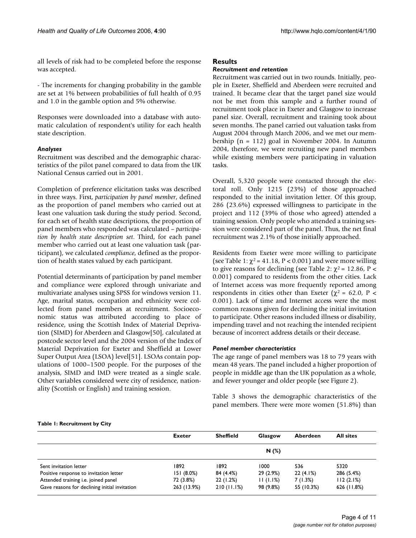all levels of risk had to be completed before the response was accepted.

- The increments for changing probability in the gamble are set at 1% between probabilities of full health of 0.95 and 1.0 in the gamble option and 5% otherwise.

Responses were downloaded into a database with automatic calculation of respondent's utility for each health state description.

# *Analyses*

Recruitment was described and the demographic characteristics of the pilot panel compared to data from the UK National Census carried out in 2001.

Completion of preference elicitation tasks was described in three ways. First, *participation by panel member*, defined as the proportion of panel members who carried out at least one valuation task during the study period. Second, for each set of health state descriptions, the proportion of panel members who responded was calculated – *participation by health state description set*. Third, for each panel member who carried out at least one valuation task (participant), we calculated *compliance*, defined as the proportion of health states valued by each participant.

Potential determinants of participation by panel member and compliance were explored through univariate and multivariate analyses using SPSS for windows version 11. Age, marital status, occupation and ethnicity were collected from panel members at recruitment. Socioeconomic status was attributed according to place of residence, using the Scottish Index of Material Deprivation (SIMD) for Aberdeen and Glasgow[50], calculated at postcode sector level and the 2004 version of the Index of Material Deprivation for Exeter and Sheffield at Lower Super Output Area (LSOA) level[51]. LSOAs contain populations of 1000–1500 people. For the purposes of the analysis, SIMD and IMD were treated as a single scale. Other variables considered were city of residence, nationality (Scottish or English) and training session.

# **Results**

## *Recruitment and retention*

Recruitment was carried out in two rounds. Initially, people in Exeter, Sheffield and Aberdeen were recruited and trained. It became clear that the target panel size would not be met from this sample and a further round of recruitment took place in Exeter and Glasgow to increase panel size. Overall, recruitment and training took about seven months. The panel carried out valuation tasks from August 2004 through March 2006, and we met our membership (n = 112) goal in November 2004. In Autumn 2004, therefore, we were recruiting new panel members while existing members were participating in valuation tasks.

Overall, 5,320 people were contacted through the electoral roll. Only 1215 (23%) of those approached responded to the initial invitation letter. Of this group, 286 (23.6%) expressed willingness to participate in the project and 112 (39% of those who agreed) attended a training session. Only people who attended a training session were considered part of the panel. Thus, the net final recruitment was 2.1% of those initially approached.

Residents from Exeter were more willing to participate (see Table 1:  $\chi^2$  = 41.18, P < 0.001) and were more willing to give reasons for declining (see Table 2:  $χ² = 12.86$ , P < 0.001) compared to residents from the other cities. Lack of Internet access was more frequently reported among respondents in cities other than Exeter ( $\chi^2$  = 62.0, P < 0.001). Lack of time and Internet access were the most common reasons given for declining the initial invitation to participate. Other reasons included illness or disability, impending travel and not reaching the intended recipient because of incorrect address details or their decease.

# *Panel member characteristics*

The age range of panel members was 18 to 79 years with mean 48 years. The panel included a higher proportion of people in middle age than the UK population as a whole, and fewer younger and older people (see Figure 2).

Table 3 shows the demographic characteristics of the panel members. There were more women (51.8%) than

#### **Table 1: Recruitment by City**

|                                               | <b>Exeter</b> | <b>Sheffield</b> | Glasgow   | Aberdeen   | <b>All sites</b> |
|-----------------------------------------------|---------------|------------------|-----------|------------|------------------|
|                                               |               |                  | N(%)      |            |                  |
| Sent invitation letter                        | 1892          | 1892             | 1000      | 536        | 5320             |
| Positive response to invitation letter        | 151(8.0%)     | 84 (4.4%)        | 29 (2.9%) | 22(4.1%)   | 286 (5.4%)       |
| Attended training i.e. joined panel           | 72 (3.8%)     | 22 (1.2%)        | 11(1.1%)  | 7(1.3%)    | 112(2.1%)        |
| Gave reasons for declining initial invitation | 263 (13.9%)   | 210(11.1%)       | 98 (9.8%) | 55 (10.3%) | 626 (11.8%)      |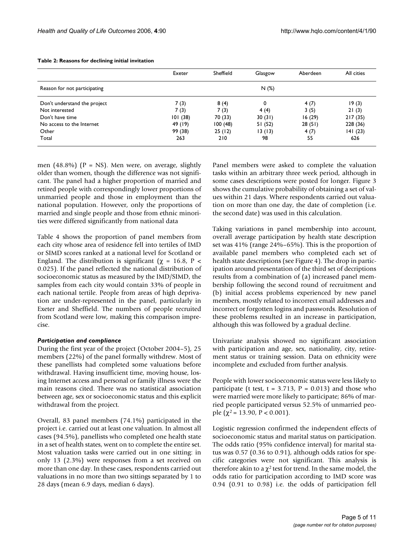|                              | Exeter  | Sheffield | Glasgow | Aberdeen | All cities |
|------------------------------|---------|-----------|---------|----------|------------|
| Reason for not participating |         |           | N(%)    |          |            |
| Don't understand the project | 7(3)    | 8(4)      | 0       | 4(7)     | 19(3)      |
| Not interested               | 7(3)    | 7(3)      | 4(4)    | 3(5)     | 21(3)      |
| Don't have time              | 101(38) | 70 (33)   | 30(31)  | 16(29)   | 217(35)    |
| No access to the Internet    | 49 (19) | 100(48)   | 51 (52) | 28(51)   | 228 (36)   |
| Other                        | 99 (38) | 25(12)    | 13(13)  | 4(7)     | 141(23)    |
| Total                        | 263     | 210       | 98      | 55       | 626        |

#### **Table 2: Reasons for declining initial invitation**

men (48.8%) ( $P = NS$ ). Men were, on average, slightly older than women, though the difference was not significant. The panel had a higher proportion of married and retired people with correspondingly lower proportions of unmarried people and those in employment than the national population. However, only the proportions of married and single people and those from ethnic minorities were differed significantly from national data

Table 4 shows the proportion of panel members from each city whose area of residence fell into tertiles of IMD or SIMD scores ranked at a national level for Scotland or England. The distribution is significant ( $\chi$  = 16.8, P < 0.025). If the panel reflected the national distribution of socioeconomic status as measured by the IMD/SIMD, the samples from each city would contain 33% of people in each national tertile. People from areas of high deprivation are under-represented in the panel, particularly in Exeter and Sheffield. The numbers of people recruited from Scotland were low, making this comparison imprecise.

### *Participation and compliance*

During the first year of the project (October 2004–5), 25 members (22%) of the panel formally withdrew. Most of these panellists had completed some valuations before withdrawal. Having insufficient time, moving house, losing Internet access and personal or family illness were the main reasons cited. There was no statistical association between age, sex or socioeconomic status and this explicit withdrawal from the project.

Overall, 83 panel members (74.1%) participated in the project i.e. carried out at least one valuation. In almost all cases (94.5%), panellists who completed one health state in a set of health states, went on to complete the entire set. Most valuation tasks were carried out in one sitting: in only 13 (2.3%) were responses from a set received on more than one day. In these cases, respondents carried out valuations in no more than two sittings separated by 1 to 28 days (mean 6.9 days, median 6 days).

Panel members were asked to complete the valuation tasks within an arbitrary three week period, although in some cases descriptions were posted for longer. Figure 3 shows the cumulative probability of obtaining a set of values within 21 days. Where respondents carried out valuation on more than one day, the date of completion (i.e. the second date) was used in this calculation.

Taking variations in panel membership into account, overall average participation by health state description set was 41% (range 24%–65%). This is the proportion of available panel members who completed each set of health state descriptions (see Figure 4). The drop in participation around presentation of the third set of decriptions results from a combination of (a) increased panel membership following the second round of recruitment and (b) initial access problems experienced by new panel members, mostly related to incorrect email addresses and incorrect or forgotten logins and passwords. Resolution of these problems resulted in an increase in participation, although this was followed by a gradual decline.

Univariate analysis showed no significant association with participation and age, sex, nationality, city, retirement status or training session. Data on ethnicity were incomplete and excluded from further analysis.

People with lower socioeconomic status were less likely to participate (t test,  $t = 3.713$ ,  $P = 0.013$ ) and those who were married were more likely to participate; 86% of married people participated versus 52.5% of unmarried people ( $\chi^2$  = 13.90, P < 0.001).

Logistic regression confirmed the independent effects of socioeconomic status and marital status on participation. The odds ratio (95% confidence interval) for marital status was 0.57 (0.36 to 0.91), although odds ratios for specific categories were not significant. This analysis is therefore akin to a  $\chi^2$  test for trend. In the same model, the odds ratio for participation according to IMD score was 0.94 (0.91 to 0.98) i.e. the odds of participation fell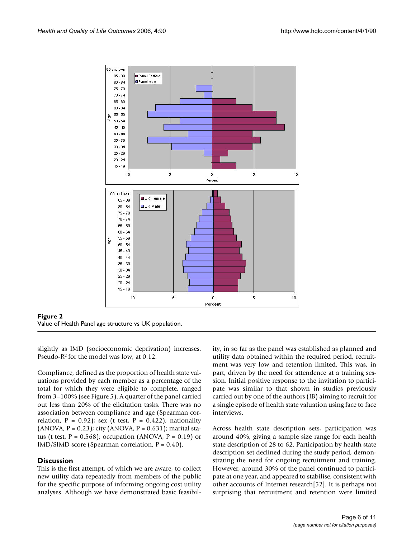

**Figure 2** Value of Health Panel age structure vs UK population.

slightly as IMD (socioeconomic deprivation) increases. Pseudo-R2 for the model was low, at 0.12.

Compliance, defined as the proportion of health state valuations provided by each member as a percentage of the total for which they were eligible to complete, ranged from 3–100% (see Figure 5). A quarter of the panel carried out less than 20% of the elicitation tasks. There was no association between compliance and age (Spearman correlation,  $P = 0.92$ ); sex (t test,  $P = 0.422$ ); nationality  $(ANOVA, P = 0.23)$ ; city  $(ANOVA, P = 0.631)$ ; marital status (t test,  $P = 0.568$ ); occupation (ANOVA,  $P = 0.19$ ) or  $IMD/SIMD score (Spearman correlation, P = 0.40).$ 

# **Discussion**

This is the first attempt, of which we are aware, to collect new utility data repeatedly from members of the public for the specific purpose of informing ongoing cost utility analyses. Although we have demonstrated basic feasibility, in so far as the panel was established as planned and utility data obtained within the required period, recruitment was very low and retention limited. This was, in part, driven by the need for attendence at a training session. Initial positive response to the invitation to participate was similar to that shown in studies previously carried out by one of the authors (JB) aiming to recruit for a single episode of health state valuation using face to face interviews.

Across health state description sets, participation was around 40%, giving a sample size range for each health state description of 28 to 62. Participation by health state description set declined during the study period, demonstrating the need for ongoing recruitment and training. However, around 30% of the panel continued to participate at one year, and appeared to stabilise, consistent with other accounts of Internet research[52]. It is perhaps not surprising that recruitment and retention were limited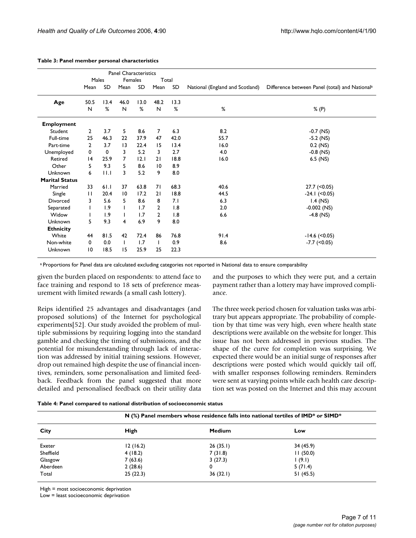|                       |                |      | <b>Panel Characteristics</b> |      |                |      |                                 |                                                |
|-----------------------|----------------|------|------------------------------|------|----------------|------|---------------------------------|------------------------------------------------|
|                       | Males          |      | Females                      |      | Total          |      |                                 |                                                |
|                       | Mean           | SD   | Mean                         | SD   | Mean           | SD   | National (England and Scotland) | Difference between Panel (total) and Nationala |
| Age                   | 50.5           | 13.4 | 46.0                         | 13.0 | 48.2           | 13.3 |                                 |                                                |
|                       | N              | %    | N                            | %    | N              | %    | %                               | % (P)                                          |
| <b>Employment</b>     |                |      |                              |      |                |      |                                 |                                                |
| Student               | $\mathbf{2}$   | 3.7  | 5.                           | 8.6  | $\overline{7}$ | 6.3  | 8.2                             | $-0.7$ (NS)                                    |
| Full-time             | 25             | 46.3 | 22                           | 37.9 | 47             | 42.0 | 55.7                            | $-5.2$ (NS)                                    |
| Part-time             | $\overline{2}$ | 3.7  | $\overline{13}$              | 22.4 | 15             | 13.4 | 16.0                            | $0.2$ (NS)                                     |
| Unemployed            | 0              | 0    | 3                            | 5.2  | 3              | 2.7  | 4.0                             | $-0.8$ (NS)                                    |
| Retired               | 4              | 25.9 | 7                            | 12.1 | 21             | 18.8 | 16.0                            | $6.5$ (NS)                                     |
| Other                 | 5.             | 9.3  | 5                            | 8.6  | 10             | 8.9  |                                 |                                                |
| Unknown               | 6              | 11.1 | 3                            | 5.2  | 9              | 8.0  |                                 |                                                |
| <b>Marital Status</b> |                |      |                              |      |                |      |                                 |                                                |
| Married               | 33             | 61.1 | 37                           | 63.8 | 71             | 68.3 | 40.6                            | $27.7$ (<0.05)                                 |
| Single                | $\mathbf{H}$   | 20.4 | 10                           | 17.2 | 21             | 18.8 | 44.5                            | $-24.1$ (<0.05)                                |
| Divorced              | 3              | 5.6  | 5.                           | 8.6  | 8              | 7.1  | 6.3                             | $1.4$ (NS)                                     |
| Separated             |                | 1.9  | Т.                           | 1.7  | $\overline{2}$ | 1.8  | 2.0                             | $-0.002$ (NS)                                  |
| Widow                 |                | 1.9  |                              | 1.7  | $\mathbf{2}$   | 1.8  | 6.6                             | $-4.8$ (NS)                                    |
| Unknown               | 5              | 9.3  | 4                            | 6.9  | 9              | 8.0  |                                 |                                                |
| <b>Ethnicity</b>      |                |      |                              |      |                |      |                                 |                                                |
| White                 | 44             | 81.5 | 42                           | 72.4 | 86             | 76.8 | 91.4                            | $-14.6$ (<0.05)                                |
| Non-white             | 0              | 0.0  | $\mathbf{I}$                 | 1.7  | Τ.             | 0.9  | 8.6                             | $-7.7$ ( $< 0.05$ )                            |
| Unknown               | 10             | 18.5 | 15                           | 25.9 | 25             | 22.3 |                                 |                                                |

#### **Table 3: Panel member personal characteristics**

a Proportions for Panel data are calculated excluding categories not reported in National data to ensure comparability

given the burden placed on respondents: to attend face to face training and respond to 18 sets of preference measurement with limited rewards (a small cash lottery).

Reips identified 25 advantages and disadvantages (and proposed solutions) of the Internet for psychological experiments[52]. Our study avoided the problem of multiple submissions by requiring logging into the standard gamble and checking the timing of submissions, and the potential for misunderstanding through lack of interaction was addressed by initial training sessions. However, drop out remained high despite the use of financial incentives, reminders, some personalisation and limited feedback. Feedback from the panel suggested that more detailed and personalised feedback on their utility data and the purposes to which they were put, and a certain payment rather than a lottery may have improved compliance.

The three week period chosen for valuation tasks was arbitrary but appears appropriate. The probability of completion by that time was very high, even where health state descriptions were available on the website for longer. This issue has not been addressed in previous studies. The shape of the curve for completion was surprising. We expected there would be an initial surge of responses after descriptions were posted which would quickly tail off, with smaller responses following reminders. Reminders were sent at varying points while each health care description set was posted on the Internet and this may account

| Table 4: Panel compared to national distribution of socioeconomic status |  |  |  |  |
|--------------------------------------------------------------------------|--|--|--|--|
|--------------------------------------------------------------------------|--|--|--|--|

|           |          | $N$ (%) Panel members whose residence falls into national tertiles of IMD* or SIMD* |           |  |  |  |  |  |
|-----------|----------|-------------------------------------------------------------------------------------|-----------|--|--|--|--|--|
| City      | High     | <b>Medium</b>                                                                       | Low       |  |  |  |  |  |
| Exeter    | 12(16.2) | 26(35.1)                                                                            | 34 (45.9) |  |  |  |  |  |
| Sheffield | 4(18.2)  | 7(31.8)                                                                             | 11(50.0)  |  |  |  |  |  |
| Glasgow   | 7(63.6)  | 3(27.3)                                                                             | (9.1)     |  |  |  |  |  |
| Aberdeen  | 2(28.6)  | 0                                                                                   | 5(71.4)   |  |  |  |  |  |
| Total     | 25(22.3) | 36(32.1)                                                                            | 51(45.5)  |  |  |  |  |  |

High = most socioeconomic deprivation

Low = least socioeconomic deprivation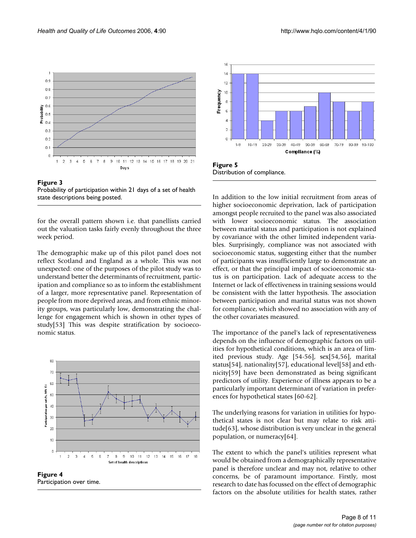

Figure 3 Probability of participation within 21 days of a set of health state descriptions being posted.

for the overall pattern shown i.e. that panellists carried out the valuation tasks fairly evenly throughout the three week period.

The demographic make up of this pilot panel does not reflect Scotland and England as a whole. This was not unexpected: one of the purposes of the pilot study was to understand better the determinants of recruitment, participation and compliance so as to inform the establishment of a larger, more representative panel. Representation of people from more deprived areas, and from ethnic minority groups, was particularly low, demonstrating the challenge for engagement which is shown in other types of study[53] This was despite stratification by socioeconomic status.



**Figure 4** Participation over time.



Distribution of compliance.

In addition to the low initial recruitment from areas of higher socioeconomic deprivation, lack of participation amongst people recruited to the panel was also associated with lower socioeconomic status. The association between marital status and participation is not explained by covariance with the other limited independent variables. Surprisingly, compliance was not associated with socioeconomic status, suggesting either that the number of participants was insufficiently large to demonstrate an effect, or that the principal impact of socioeconomic status is on participation. Lack of adequate access to the Internet or lack of effectiveness in training sessions would be consistent with the latter hypothesis. The association between participation and marital status was not shown for compliance, which showed no association with any of the other covariates measured.

The importance of the panel's lack of representativeness depends on the influence of demographic factors on utilities for hypothetical conditions, which is an area of limited previous study. Age [54-56], sex[54,56], marital status[54], nationality[57], educational level[58] and ethnicity[59] have been demonstrated as being significant predictors of utility. Experience of illness appears to be a particularly important determinant of variation in preferences for hypothetical states [60-62].

The underlying reasons for variation in utilities for hypothetical states is not clear but may relate to risk attitude[63], whose distribution is very unclear in the general population, or numeracy[64].

The extent to which the panel's utilities represent what would be obtained from a demographically representative panel is therefore unclear and may not, relative to other concerns, be of paramount importance. Firstly, most research to date has focussed on the effect of demographic factors on the absolute utilities for health states, rather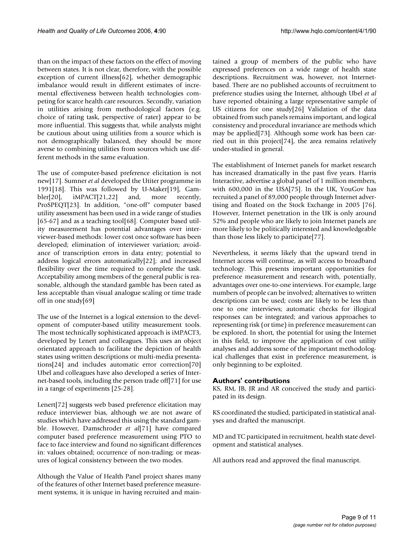than on the impact of these factors on the effect of moving between states. It is not clear, therefore, with the possible exception of current illness[62], whether demographic imbalance would result in different estimates of incremental effectiveness between health technologies competing for scarce health care resources. Secondly, variation in utilities arising from methodological factors (e.g. choice of rating task, perspective of rater) appear to be more influential. This suggests that, while analysts might be cautious about using utilities from a source which is not demographically balanced, they should be more averse to combining utilities from sources which use different methods in the same evaluation.

The use of computer-based preference elicitation is not new[17]. Sumner *et al* developed the Utiter programme in 1991[18]. This was followed by U-Maker[19], Gambler[20], iMPACT[21,22] and, more recently, ProSPEQT[23]. In addition, "one-off" computer based utility assessment has been used in a wide range of studies [65-67] and as a teaching tool[68]. Computer based utility measurement has potential advantages over interviewer-based methods: lower cost once software has been developed; elimination of interviewer variation; avoidance of transcription errors in data entry; potential to address logical errors automatically[22]; and increased flexibility over the time required to complete the task. Acceptability among members of the general public is reasonable, although the standard gamble has been rated as less acceptable than visual analogue scaling or time trade off in one study[69]

The use of the Internet is a logical extension to the development of computer-based utility measurement tools. The most technically sophisticated approach is iMPACT3, developed by Lenert and colleagues. This uses an object orientated approach to facilitate the depiction of health states using written descriptions or multi-media presentations[24] and includes automatic error correction[70] Ubel and colleagues have also developed a series of Internet-based tools, including the person trade off[71] for use in a range of experiments [25-28].

Lenert[72] suggests web based preference elicitation may reduce interviewer bias, although we are not aware of studies which have addressed this using the standard gamble. However, Damschroder *et al*[71] have compared computer based preference measurement using PTO to face to face interview and found no significant differences in: values obtained; occurrence of non-trading; or measures of logical consistency between the two modes.

Although the Value of Health Panel project shares many of the features of other Internet based preference measurement systems, it is unique in having recruited and maintained a group of members of the public who have expressed preferences on a wide range of health state descriptions. Recruitment was, however, not Internetbased. There are no published accounts of recruitment to preference studies using the Internet, although Ubel *et al* have reported obtaining a large representative sample of US citizens for one study[26] Validation of the data obtained from such panels remains important, and logical consistency and procedural invariance are methods which may be applied[73]. Although some work has been carried out in this project[74], the area remains relatively under-studied in general.

The establishment of Internet panels for market research has increased dramatically in the past five years. Harris Interactive, advertise a global panel of 1 million members, with 600,000 in the USA[75]. In the UK, YouGov has recruited a panel of 89,000 people through Internet advertising and floated on the Stock Exchange in 2005 [76]. However, Internet penetration in the UK is only around 52% and people who are likely to join Internet panels are more likely to be politically interested and knowledgeable than those less likely to participate[77].

Nevertheless, it seems likely that the upward trend in Internet access will continue, as will access to broadband technology. This presents important opportunities for preference measurement and research with, potentially, advantages over one-to-one interviews. For example, large numbers of people can be involved; alternatives to written descriptions can be used; costs are likely to be less than one to one interviews; automatic checks for illogical responses can be integrated; and various approaches to representing risk (or time) in preference measurement can be explored. In short, the potential for using the Internet in this field, to improve the application of cost utility analyses and address some of the important methodological challenges that exist in preference measurement, is only beginning to be exploited.

# **Authors' contributions**

KS, RM, JB, JR and AR conceived the study and participated in its design.

KS coordinated the studied, participated in statistical analyses and drafted the manuscript.

MD and TC participated in recruitment, health state development and statistical analyses.

All authors read and approved the final manuscript.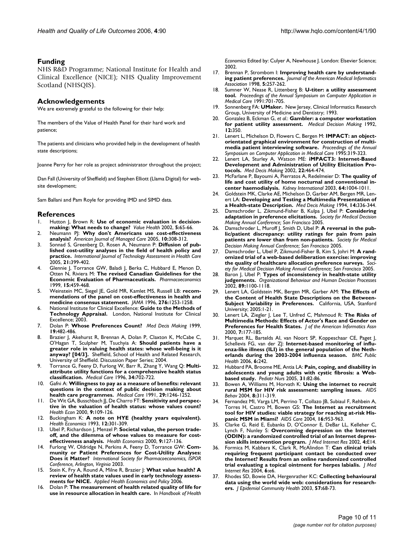### **Funding**

NHS R&D Programme; National Institute for Health and Clinical Excellence (NICE); NHS Quality Improvement Scotland (NHSQIS).

### **Acknowledgements**

We are extremely grateful to the following for their help:

The members of the Value of Health Panel for their hard work and patience;

The patients and clinicians who provided help in the development of health state descriptions;

Joanne Perry for her role as project administrator throughout the project;

Dan Fall (University of Sheffield) and Stephen Elliott (Llama Digital) for website development;

Sam Ballani and Pam Royle for providing IMD and SIMD data.

#### **References**

- 1. Hutton J, Brown R: **[Use of economic evaluation in decision](http://www.ncbi.nlm.nih.gov/entrez/query.fcgi?cmd=Retrieve&db=PubMed&dopt=Abstract&list_uids=11918820)[making: What needs to change?](http://www.ncbi.nlm.nih.gov/entrez/query.fcgi?cmd=Retrieve&db=PubMed&dopt=Abstract&list_uids=11918820)** *Value Health* 2002, **5:**65-66.
- 2. Neumann PJ: **Why don't Americans use cost-effectiveness analysis?** *American Journal of Managed Care* 2005, **10:**308-312.
- 3. Sonnad S, Greenberg D, Rosen A, Neumann P: **[Diffusion of pub](http://www.ncbi.nlm.nih.gov/entrez/query.fcgi?cmd=Retrieve&db=PubMed&dopt=Abstract&list_uids=16110721)[lished cost-utility analyses in the field of health policy and](http://www.ncbi.nlm.nih.gov/entrez/query.fcgi?cmd=Retrieve&db=PubMed&dopt=Abstract&list_uids=16110721) [practice.](http://www.ncbi.nlm.nih.gov/entrez/query.fcgi?cmd=Retrieve&db=PubMed&dopt=Abstract&list_uids=16110721)** *International Journal of Technology Assessment in Health Care* 2005, **21:**399-402.
- 4. Glennie J, Torrance GW, Baladi J, Berka C, Hubbard E, Menon D, Otten N, Riviera M: **[The revised Canadian Guidelines for the](http://www.ncbi.nlm.nih.gov/entrez/query.fcgi?cmd=Retrieve&db=PubMed&dopt=Abstract&list_uids=10537963) [Economic Evaluation of Pharmaceuticals.](http://www.ncbi.nlm.nih.gov/entrez/query.fcgi?cmd=Retrieve&db=PubMed&dopt=Abstract&list_uids=10537963)** *Pharmacoeconomics* 1999, **15:**459-468.
- 5. Weinstein MC, Siegel JE, Gold MR, Kamlet MS, Russell LB: **[recom](http://www.ncbi.nlm.nih.gov/entrez/query.fcgi?cmd=Retrieve&db=PubMed&dopt=Abstract&list_uids=8849754)[mendations of the panel on cost-effectiveness in health and](http://www.ncbi.nlm.nih.gov/entrez/query.fcgi?cmd=Retrieve&db=PubMed&dopt=Abstract&list_uids=8849754) [medicine consensus statement.](http://www.ncbi.nlm.nih.gov/entrez/query.fcgi?cmd=Retrieve&db=PubMed&dopt=Abstract&list_uids=8849754)** *JAMA* 1996, **276:**1253-1258.
- 6. National Institute for Clinical Excellence: **Guide to the Methods of Technology Appraisal.** London, National Institute for Clinical Excellence; 2003.
- 7. Dolan P: **[Whose Preferences Count?](http://www.ncbi.nlm.nih.gov/entrez/query.fcgi?cmd=Retrieve&db=PubMed&dopt=Abstract&list_uids=10520686)** *Med Decis Making* 1999, **19:**482-486.
- 8. Brazier J, Akehurst R, Brennan A, Dolan P, Claxton K, McCabe C, O'Hagan T, Sculpher M, Tsuchyia A: **Should patients have a greater role in valuing health states: whose well-being is it anyway? [04/3].** Sheffield, School of Health and Related Research, University of Sheffield. Discussion Paper Series; 2004.
- 9. Torrance G, Feeny D, Furlong W, Barr R, Zhang Y, Wang Q: **[Multi](http://www.ncbi.nlm.nih.gov/entrez/query.fcgi?cmd=Retrieve&db=PubMed&dopt=Abstract&list_uids=8676608)[attribute utility functions for a comprehensive health status](http://www.ncbi.nlm.nih.gov/entrez/query.fcgi?cmd=Retrieve&db=PubMed&dopt=Abstract&list_uids=8676608) [classification.](http://www.ncbi.nlm.nih.gov/entrez/query.fcgi?cmd=Retrieve&db=PubMed&dopt=Abstract&list_uids=8676608)** *Medical Care* 1996, **34:**702-722.
- 10. Gafni A: **[Willingness to pay as a measure of benefits: relevant](http://www.ncbi.nlm.nih.gov/entrez/query.fcgi?cmd=Retrieve&db=PubMed&dopt=Abstract&list_uids=1745082) [questions in the context of public decision making about](http://www.ncbi.nlm.nih.gov/entrez/query.fcgi?cmd=Retrieve&db=PubMed&dopt=Abstract&list_uids=1745082) [health care programmes.](http://www.ncbi.nlm.nih.gov/entrez/query.fcgi?cmd=Retrieve&db=PubMed&dopt=Abstract&list_uids=1745082)** *Medical Care* 1991, **29:**1246-1252.
- 11. De Wit GA, Busschbach JJ, De Charro FT: **[Sensitivity and perspec](http://www.ncbi.nlm.nih.gov/entrez/query.fcgi?cmd=Retrieve&db=PubMed&dopt=Abstract&list_uids=10721013)[tive in the valuation of health status: whose values count?](http://www.ncbi.nlm.nih.gov/entrez/query.fcgi?cmd=Retrieve&db=PubMed&dopt=Abstract&list_uids=10721013)** *Health Econ* 2000, **9:**109-126.
- 12. Buckingham K: **A note on HYE (healthy years equivalent).** *Health Economics* 1993, **12:**301-309.
- 13. Ubel P, Richardson J, Menzel P: **[Societal value, the person trade](http://www.ncbi.nlm.nih.gov/entrez/query.fcgi?cmd=Retrieve&db=PubMed&dopt=Abstract&list_uids=10721014)[off, and the dilemma of whose values to measure for cost](http://www.ncbi.nlm.nih.gov/entrez/query.fcgi?cmd=Retrieve&db=PubMed&dopt=Abstract&list_uids=10721014)[effectiveness analysis.](http://www.ncbi.nlm.nih.gov/entrez/query.fcgi?cmd=Retrieve&db=PubMed&dopt=Abstract&list_uids=10721014)** *Health Economics* 2000, **9:**127-136.
- 14. Furlong W, Oldridge N, Perkins A, Feeny D, Torrance GW: **Community or Patient Preferences for Cost-Utility Analyses: Does it Matter?** *International Society for Pharmacoeconomics, ISPOR Conference, Arlington, Virginia* 2003.
- 15. Stein K, Fry A, Round A, Milne R, Brazier J: **What value health? A review of health state values used in early technology assessments for NICE.** *Applied Health Economics and Policy* 2006.
- 16. Dolan P: **The measurement of health related quality of life for use in resource allocation in health care.** In *Handbook of Health*

*Economics* Edited by: Culyer A, Newhouse J. London: Elsevier Science; 2002.

- 17. Brennan P, Strombom I: **[Improving health care by understand](http://www.ncbi.nlm.nih.gov/entrez/query.fcgi?cmd=Retrieve&db=PubMed&dopt=Abstract&list_uids=9609495)[ing patient preferences.](http://www.ncbi.nlm.nih.gov/entrez/query.fcgi?cmd=Retrieve&db=PubMed&dopt=Abstract&list_uids=9609495)** *Journal of the American Medical Informatics Association* 1998, **5:**257-262.
- 18. Sumner W, Nease R, Littenberg B: **U-titer: a utility assessment tool.** *Proceedings of the Annual Symposium on Computer Application in Medical Care* 1991:701-705.
- 19. Sonnenberg FA: **UMaker.** New Jersey, Clinical Informatics Research Group, University of Medicine and Dentistry; 1993.
- 20. Gonzalez B, Eckman G, *et al.*: **Gambler: a computer workstation for patient utility assessment.** *Medical Decision Making* 1992, **12:**350.
- 21. Lenert L, Michelson D, Flowers C, Bergen M: **IMPACT: an objectorientated graphical environment for construction of multimedia patient interviewing software.** *Proceedings of the Annual Symposium on Computer Application in Medical Care* 1995:319-323.
- 22. Lenert LA, Sturley A, Watson ME: **[iMPACT3: Internet-Based](http://www.ncbi.nlm.nih.gov/entrez/query.fcgi?cmd=Retrieve&db=PubMed&dopt=Abstract&list_uids=12458976) [Development and Administration of Utility Elicitation Pro](http://www.ncbi.nlm.nih.gov/entrez/query.fcgi?cmd=Retrieve&db=PubMed&dopt=Abstract&list_uids=12458976)[tocols.](http://www.ncbi.nlm.nih.gov/entrez/query.fcgi?cmd=Retrieve&db=PubMed&dopt=Abstract&list_uids=12458976)** *Med Decis Making* 2002, **22:**464-474.
- 23. McFarlane P, Bayoumi A, Pierratos A, Redelmeier D: **[The quality of](http://www.ncbi.nlm.nih.gov/entrez/query.fcgi?cmd=Retrieve&db=PubMed&dopt=Abstract&list_uids=12911550) [life and cost utility of home nocturnal and conventional in](http://www.ncbi.nlm.nih.gov/entrez/query.fcgi?cmd=Retrieve&db=PubMed&dopt=Abstract&list_uids=12911550)[center haemodialysis.](http://www.ncbi.nlm.nih.gov/entrez/query.fcgi?cmd=Retrieve&db=PubMed&dopt=Abstract&list_uids=12911550)** *Kidney International* 2003, **64:**1004-1011.
- 24. Goldstein MK, Clarke AE, Michelson D, Garber AM, Bergen MR, Lenert LA: **[Developing and Testing a Multimedia Presentation of](http://www.ncbi.nlm.nih.gov/entrez/query.fcgi?cmd=Retrieve&db=PubMed&dopt=Abstract&list_uids=7528868) [a Health-state Description.](http://www.ncbi.nlm.nih.gov/entrez/query.fcgi?cmd=Retrieve&db=PubMed&dopt=Abstract&list_uids=7528868)** *Med Decis Making* 1994, **14:**336-344.
- 25. Damschroder L, Zikmund-Fisher B, Kulpa J, Ubel P: **Considering adaptation in preference elicitations.** *Society for Medical Decision Making Annual Conference; San Francisco* 2005.
- 26. Damschroder L, Muroff J, Smith D, Ubel P: **A reversal in the public/patient discrepancy: utility ratings for pain from pain patients are lower than from non-patients.** *Society for Medical Decision Making Annual Conference; San Francisco* 2005.
- 27. Damschroder L, Ubel P, Zikmund-Fisher B, Kim S, Johri M: **A randomized trial of a web-based deliberation exercise: improving the quality of healthcare allocation preference surveys.** *Society for Medical Decision Making Annual Conference; San Francisco* 2005.
- 28. Baron J, Ubel P: **Types of inconsistency in health-state utility judgements.** *Organizational Behaviour and Human Decision Processes* 2002, **89:**1100-1118.
- 29. Lenert LA, Goldstein MK, Bergen MR, Garber AM: **The Effects of the Content of Health State Descriptions on the Between-Subject Variability in Preferences.** California, USA, Stanford University; 2005:1-21.
- 30. Lenert LA, Ziegler J, Lee T, Unfred C, Mahmoud R: **The Risks of Multimedia Methods: Effects of Actor's Race and Gender on Preferences for Health States.** *J of the American Informatics Assn* 2000, **7:**177-185.
- 31. Marquet RL, Bartelds AI, van Noort SP, Koppeschaar CE, Paget J, Schellevis FG, van der ZJ: [Internet-based monitoring of influ](http://www.ncbi.nlm.nih.gov/entrez/query.fcgi?cmd=Retrieve&db=PubMed&dopt=Abstract&list_uids=17018161)**[enza-like illness \(ILI\) in the general population of the Neth](http://www.ncbi.nlm.nih.gov/entrez/query.fcgi?cmd=Retrieve&db=PubMed&dopt=Abstract&list_uids=17018161)[erlands during the 2003-2004 influenza season.](http://www.ncbi.nlm.nih.gov/entrez/query.fcgi?cmd=Retrieve&db=PubMed&dopt=Abstract&list_uids=17018161)** *BMC Public Health* 2006, **6:**242.
- 32. Hubbard PA, Broome ME, Antia LA: **[Pain, coping, and disability in](http://www.ncbi.nlm.nih.gov/entrez/query.fcgi?cmd=Retrieve&db=PubMed&dopt=Abstract&list_uids=15934559) [adolescents and young adults with cystic fibrosis: a Web](http://www.ncbi.nlm.nih.gov/entrez/query.fcgi?cmd=Retrieve&db=PubMed&dopt=Abstract&list_uids=15934559)[based study.](http://www.ncbi.nlm.nih.gov/entrez/query.fcgi?cmd=Retrieve&db=PubMed&dopt=Abstract&list_uids=15934559)** *Pediatr Nurs* 2005, **31:**82-86.
- 33. Bowen A, Williams M, Horvath K: **[Using the internet to recruit](http://www.ncbi.nlm.nih.gov/entrez/query.fcgi?cmd=Retrieve&db=PubMed&dopt=Abstract&list_uids=15475678) [rural MSM for HIV risk assessment: sampling issues.](http://www.ncbi.nlm.nih.gov/entrez/query.fcgi?cmd=Retrieve&db=PubMed&dopt=Abstract&list_uids=15475678)** *AIDS Behav* 2004, **8:**311-319.
- 34. Fernandez MI, Varga LM, Perrino T, Collazo JB, Subiaul F, Rehbein A, Torres H, Castro M, Bowen GS: **[The Internet as recruitment](http://www.ncbi.nlm.nih.gov/entrez/query.fcgi?cmd=Retrieve&db=PubMed&dopt=Abstract&list_uids=15511727) [tool for HIV studies: viable strategy for reaching at-risk His](http://www.ncbi.nlm.nih.gov/entrez/query.fcgi?cmd=Retrieve&db=PubMed&dopt=Abstract&list_uids=15511727)[panic MSM in Miami?](http://www.ncbi.nlm.nih.gov/entrez/query.fcgi?cmd=Retrieve&db=PubMed&dopt=Abstract&list_uids=15511727)** *AIDS Care* 2004, **16:**953-963.
- 35. Clarke G, Reid E, Eubanks D, O'Connor E, DeBar LL, Kelleher C, Lynch F, Nunley S: **[Overcoming depression on the Internet](http://www.ncbi.nlm.nih.gov/entrez/query.fcgi?cmd=Retrieve&db=PubMed&dopt=Abstract&list_uids=12554545) [\(ODIN\): a randomized controlled trial of an Internet depres](http://www.ncbi.nlm.nih.gov/entrez/query.fcgi?cmd=Retrieve&db=PubMed&dopt=Abstract&list_uids=12554545)[sion skills intervention program.](http://www.ncbi.nlm.nih.gov/entrez/query.fcgi?cmd=Retrieve&db=PubMed&dopt=Abstract&list_uids=12554545)** *J Med Internet Res* 2002, **4:**E14.
- 36. Formica M, Kabbara K, Clark R, McAlindon T: **[Can clinical trials](http://www.ncbi.nlm.nih.gov/entrez/query.fcgi?cmd=Retrieve&db=PubMed&dopt=Abstract&list_uids=15111272) [requiring frequent participant contact be conducted over](http://www.ncbi.nlm.nih.gov/entrez/query.fcgi?cmd=Retrieve&db=PubMed&dopt=Abstract&list_uids=15111272) the Internet? Results from an online randomized controlled [trial evaluating a topical ointment for herpes labialis.](http://www.ncbi.nlm.nih.gov/entrez/query.fcgi?cmd=Retrieve&db=PubMed&dopt=Abstract&list_uids=15111272)** *J Med Internet Res* 2004, **6:**e6.
- 37. Rhodes SD, Bowie DA, Hergenrather KC: **[Collecting behavioural](http://www.ncbi.nlm.nih.gov/entrez/query.fcgi?cmd=Retrieve&db=PubMed&dopt=Abstract&list_uids=12490652) [data using the world wide web: considerations for research](http://www.ncbi.nlm.nih.gov/entrez/query.fcgi?cmd=Retrieve&db=PubMed&dopt=Abstract&list_uids=12490652)[ers.](http://www.ncbi.nlm.nih.gov/entrez/query.fcgi?cmd=Retrieve&db=PubMed&dopt=Abstract&list_uids=12490652)** *J Epidemiol Community Health* 2003, **57:**68-73.